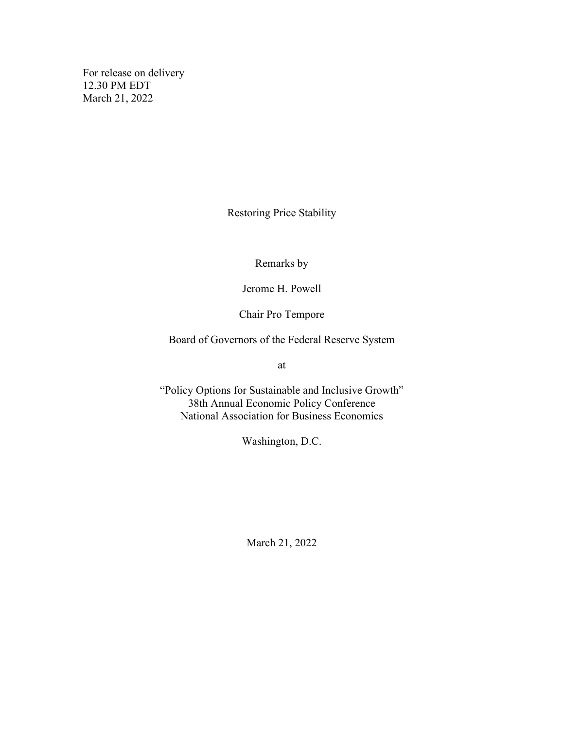For release on delivery 12.30 PM EDT March 21, 2022

Restoring Price Stability

Remarks by

Jerome H. Powell

Chair Pro Tempore

Board of Governors of the Federal Reserve System

at

"Policy Options for Sustainable and Inclusive Growth" 38th Annual Economic Policy Conference National Association for Business Economics

Washington, D.C.

March 21, 2022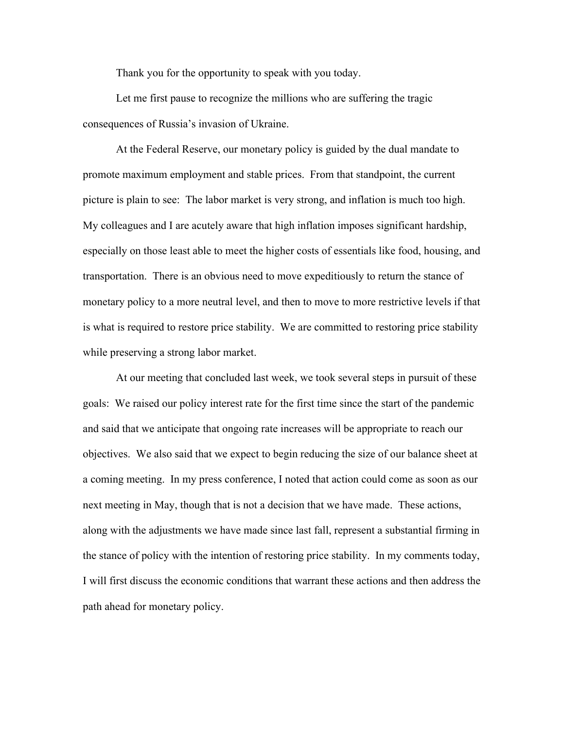Thank you for the opportunity to speak with you today.

Let me first pause to recognize the millions who are suffering the tragic consequences of Russia's invasion of Ukraine.

At the Federal Reserve, our monetary policy is guided by the dual mandate to promote maximum employment and stable prices. From that standpoint, the current picture is plain to see: The labor market is very strong, and inflation is much too high. My colleagues and I are acutely aware that high inflation imposes significant hardship, especially on those least able to meet the higher costs of essentials like food, housing, and transportation. There is an obvious need to move expeditiously to return the stance of monetary policy to a more neutral level, and then to move to more restrictive levels if that is what is required to restore price stability. We are committed to restoring price stability while preserving a strong labor market.

At our meeting that concluded last week, we took several steps in pursuit of these goals: We raised our policy interest rate for the first time since the start of the pandemic and said that we anticipate that ongoing rate increases will be appropriate to reach our objectives. We also said that we expect to begin reducing the size of our balance sheet at a coming meeting. In my press conference, I noted that action could come as soon as our next meeting in May, though that is not a decision that we have made. These actions, along with the adjustments we have made since last fall, represent a substantial firming in the stance of policy with the intention of restoring price stability. In my comments today, I will first discuss the economic conditions that warrant these actions and then address the path ahead for monetary policy.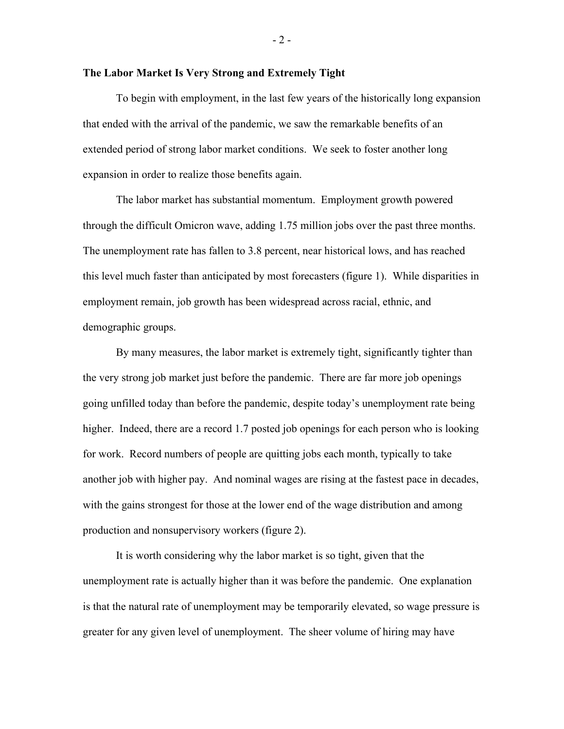#### **The Labor Market Is Very Strong and Extremely Tight**

To begin with employment, in the last few years of the historically long expansion that ended with the arrival of the pandemic, we saw the remarkable benefits of an extended period of strong labor market conditions. We seek to foster another long expansion in order to realize those benefits again.

The labor market has substantial momentum. Employment growth powered through the difficult Omicron wave, adding 1.75 million jobs over the past three months. The unemployment rate has fallen to 3.8 percent, near historical lows, and has reached this level much faster than anticipated by most forecasters (figure 1). While disparities in employment remain, job growth has been widespread across racial, ethnic, and demographic groups.

By many measures, the labor market is extremely tight, significantly tighter than the very strong job market just before the pandemic. There are far more job openings going unfilled today than before the pandemic, despite today's unemployment rate being higher. Indeed, there are a record 1.7 posted job openings for each person who is looking for work. Record numbers of people are quitting jobs each month, typically to take another job with higher pay. And nominal wages are rising at the fastest pace in decades, with the gains strongest for those at the lower end of the wage distribution and among production and nonsupervisory workers (figure 2).

It is worth considering why the labor market is so tight, given that the unemployment rate is actually higher than it was before the pandemic. One explanation is that the natural rate of unemployment may be temporarily elevated, so wage pressure is greater for any given level of unemployment. The sheer volume of hiring may have

- 2 -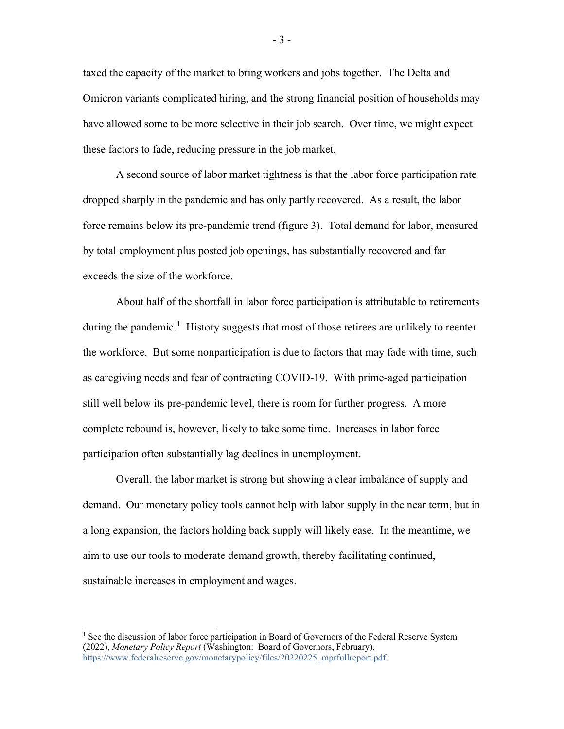taxed the capacity of the market to bring workers and jobs together. The Delta and Omicron variants complicated hiring, and the strong financial position of households may have allowed some to be more selective in their job search. Over time, we might expect these factors to fade, reducing pressure in the job market.

A second source of labor market tightness is that the labor force participation rate dropped sharply in the pandemic and has only partly recovered. As a result, the labor force remains below its pre-pandemic trend (figure 3). Total demand for labor, measured by total employment plus posted job openings, has substantially recovered and far exceeds the size of the workforce.

About half of the shortfall in labor force participation is attributable to retirements during the pandemic.<sup>[1](#page-3-0)</sup> History suggests that most of those retirees are unlikely to reenter the workforce. But some nonparticipation is due to factors that may fade with time, such as caregiving needs and fear of contracting COVID-19. With prime-aged participation still well below its pre-pandemic level, there is room for further progress. A more complete rebound is, however, likely to take some time. Increases in labor force participation often substantially lag declines in unemployment.

Overall, the labor market is strong but showing a clear imbalance of supply and demand. Our monetary policy tools cannot help with labor supply in the near term, but in a long expansion, the factors holding back supply will likely ease. In the meantime, we aim to use our tools to moderate demand growth, thereby facilitating continued, sustainable increases in employment and wages.

- 3 -

<span id="page-3-0"></span> $<sup>1</sup>$  See the discussion of labor force participation in Board of Governors of the Federal Reserve System</sup> (2022), *Monetary Policy Report* (Washington: Board of Governors, February), [https://www.federalreserve.gov/monetarypolicy/files/20220225\\_mprfullreport.pdf.](https://www.federalreserve.gov/monetarypolicy/files/20220225_mprfullreport.pdf)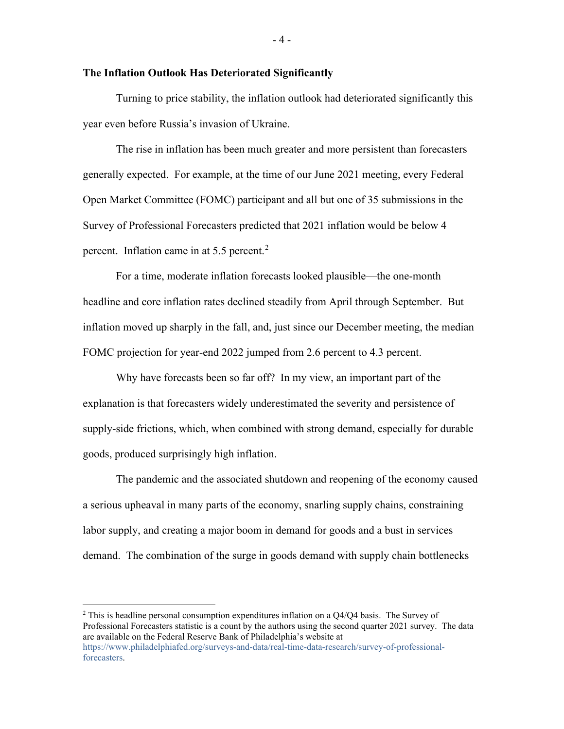#### **The Inflation Outlook Has Deteriorated Significantly**

Turning to price stability, the inflation outlook had deteriorated significantly this year even before Russia's invasion of Ukraine.

The rise in inflation has been much greater and more persistent than forecasters generally expected. For example, at the time of our June 2021 meeting, every Federal Open Market Committee (FOMC) participant and all but one of 35 submissions in the Survey of Professional Forecasters predicted that 2021 inflation would be below 4 percent. Inflation came in at 5.5 percent.<sup>[2](#page-4-0)</sup>

For a time, moderate inflation forecasts looked plausible—the one-month headline and core inflation rates declined steadily from April through September. But inflation moved up sharply in the fall, and, just since our December meeting, the median FOMC projection for year-end 2022 jumped from 2.6 percent to 4.3 percent.

Why have forecasts been so far off? In my view, an important part of the explanation is that forecasters widely underestimated the severity and persistence of supply-side frictions, which, when combined with strong demand, especially for durable goods, produced surprisingly high inflation.

The pandemic and the associated shutdown and reopening of the economy caused a serious upheaval in many parts of the economy, snarling supply chains, constraining labor supply, and creating a major boom in demand for goods and a bust in services demand. The combination of the surge in goods demand with supply chain bottlenecks

<span id="page-4-0"></span> $2$  This is headline personal consumption expenditures inflation on a Q4/Q4 basis. The Survey of Professional Forecasters statistic is a count by the authors using the second quarter 2021 survey. The data are available on the Federal Reserve Bank of Philadelphia's website at [https://www.philadelphiafed.org/surveys-and-data/real-time-data-research/survey-of-professional](https://www.philadelphiafed.org/surveys-and-data/real-time-data-research/survey-of-professional-forecasters)[forecasters.](https://www.philadelphiafed.org/surveys-and-data/real-time-data-research/survey-of-professional-forecasters)

- 4 -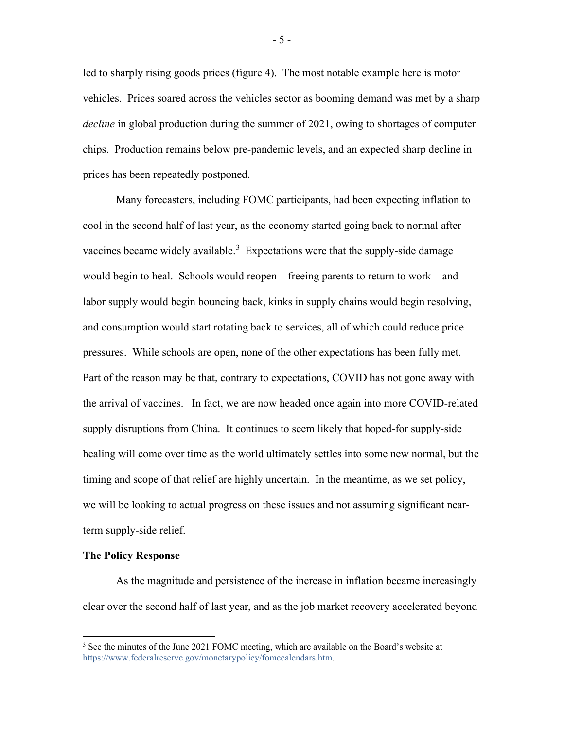led to sharply rising goods prices (figure 4). The most notable example here is motor vehicles. Prices soared across the vehicles sector as booming demand was met by a sharp *decline* in global production during the summer of 2021, owing to shortages of computer chips. Production remains below pre-pandemic levels, and an expected sharp decline in prices has been repeatedly postponed.

Many forecasters, including FOMC participants, had been expecting inflation to cool in the second half of last year, as the economy started going back to normal after vaccines became widely available.<sup>[3](#page-5-0)</sup> Expectations were that the supply-side damage would begin to heal. Schools would reopen—freeing parents to return to work—and labor supply would begin bouncing back, kinks in supply chains would begin resolving, and consumption would start rotating back to services, all of which could reduce price pressures. While schools are open, none of the other expectations has been fully met. Part of the reason may be that, contrary to expectations, COVID has not gone away with the arrival of vaccines. In fact, we are now headed once again into more COVID-related supply disruptions from China. It continues to seem likely that hoped-for supply-side healing will come over time as the world ultimately settles into some new normal, but the timing and scope of that relief are highly uncertain. In the meantime, as we set policy, we will be looking to actual progress on these issues and not assuming significant nearterm supply-side relief.

#### **The Policy Response**

As the magnitude and persistence of the increase in inflation became increasingly clear over the second half of last year, and as the job market recovery accelerated beyond

- 5 -

<span id="page-5-0"></span><sup>&</sup>lt;sup>3</sup> See the minutes of the June 2021 FOMC meeting, which are available on the Board's website at [https://www.federalreserve.gov/monetarypolicy/fomccalendars.htm.](https://www.federalreserve.gov/monetarypolicy/fomccalendars.htm)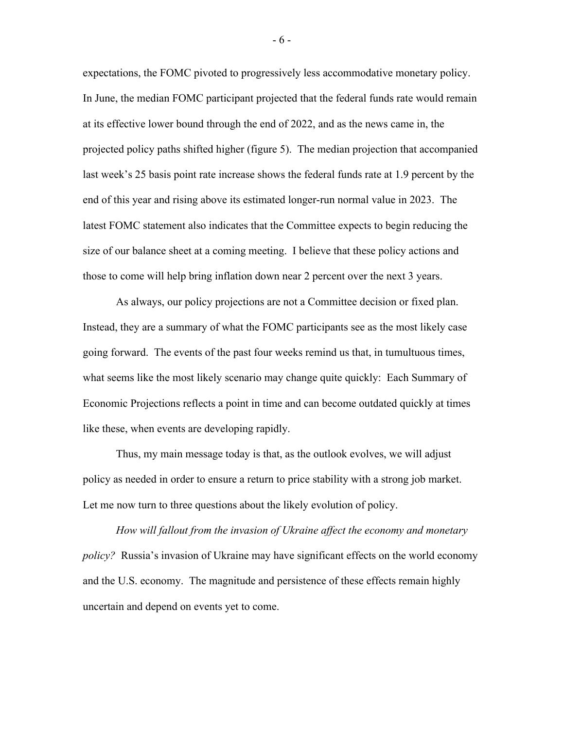expectations, the FOMC pivoted to progressively less accommodative monetary policy. In June, the median FOMC participant projected that the federal funds rate would remain at its effective lower bound through the end of 2022, and as the news came in, the projected policy paths shifted higher (figure 5). The median projection that accompanied last week's 25 basis point rate increase shows the federal funds rate at 1.9 percent by the end of this year and rising above its estimated longer-run normal value in 2023. The latest FOMC statement also indicates that the Committee expects to begin reducing the size of our balance sheet at a coming meeting. I believe that these policy actions and those to come will help bring inflation down near 2 percent over the next 3 years.

As always, our policy projections are not a Committee decision or fixed plan. Instead, they are a summary of what the FOMC participants see as the most likely case going forward. The events of the past four weeks remind us that, in tumultuous times, what seems like the most likely scenario may change quite quickly: Each Summary of Economic Projections reflects a point in time and can become outdated quickly at times like these, when events are developing rapidly.

Thus, my main message today is that, as the outlook evolves, we will adjust policy as needed in order to ensure a return to price stability with a strong job market. Let me now turn to three questions about the likely evolution of policy.

*How will fallout from the invasion of Ukraine affect the economy and monetary policy?* Russia's invasion of Ukraine may have significant effects on the world economy and the U.S. economy. The magnitude and persistence of these effects remain highly uncertain and depend on events yet to come.

- 6 -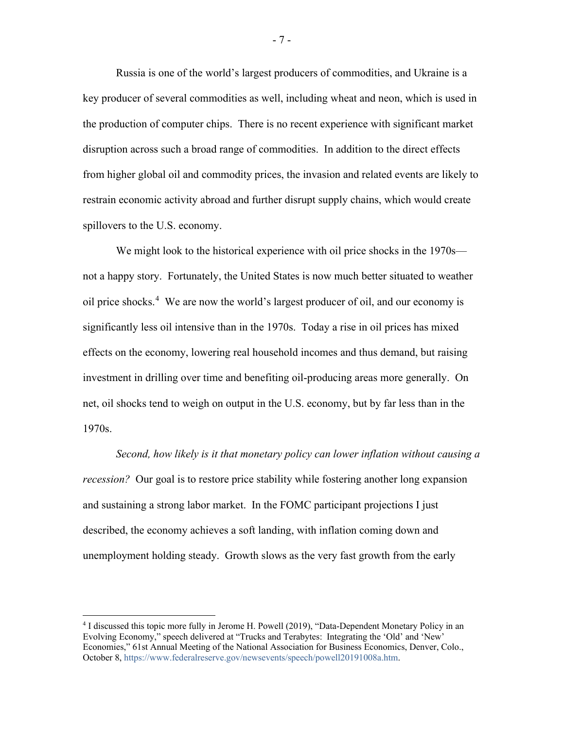Russia is one of the world's largest producers of commodities, and Ukraine is a key producer of several commodities as well, including wheat and neon, which is used in the production of computer chips. There is no recent experience with significant market disruption across such a broad range of commodities. In addition to the direct effects from higher global oil and commodity prices, the invasion and related events are likely to restrain economic activity abroad and further disrupt supply chains, which would create spillovers to the U.S. economy.

We might look to the historical experience with oil price shocks in the 1970s not a happy story. Fortunately, the United States is now much better situated to weather oil price shocks.<sup>[4](#page-7-0)</sup> We are now the world's largest producer of oil, and our economy is significantly less oil intensive than in the 1970s. Today a rise in oil prices has mixed effects on the economy, lowering real household incomes and thus demand, but raising investment in drilling over time and benefiting oil-producing areas more generally. On net, oil shocks tend to weigh on output in the U.S. economy, but by far less than in the 1970s.

*Second, how likely is it that monetary policy can lower inflation without causing a recession?* Our goal is to restore price stability while fostering another long expansion and sustaining a strong labor market. In the FOMC participant projections I just described, the economy achieves a soft landing, with inflation coming down and unemployment holding steady. Growth slows as the very fast growth from the early

- 7 -

<span id="page-7-0"></span><sup>&</sup>lt;sup>4</sup> I discussed this topic more fully in Jerome H. Powell (2019), "Data-Dependent Monetary Policy in an Evolving Economy," speech delivered at "Trucks and Terabytes: Integrating the 'Old' and 'New' Economies," 61st Annual Meeting of the National Association for Business Economics, Denver, Colo., October 8[, https://www.federalreserve.gov/newsevents/speech/powell20191008a.htm.](https://www.federalreserve.gov/newsevents/speech/powell20191008a.htm)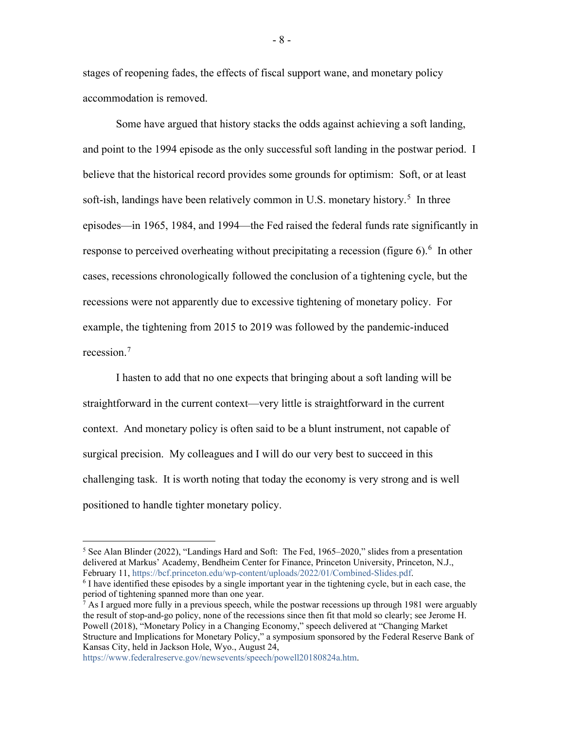stages of reopening fades, the effects of fiscal support wane, and monetary policy accommodation is removed.

Some have argued that history stacks the odds against achieving a soft landing, and point to the 1994 episode as the only successful soft landing in the postwar period. I believe that the historical record provides some grounds for optimism: Soft, or at least soft-ish, landings have been relatively common in U.S. monetary history.<sup>[5](#page-8-0)</sup> In three episodes—in 1965, 1984, and 1994—the Fed raised the federal funds rate significantly in response to perceived overheating without precipitating a recession (figure [6](#page-8-1)).  $6\,$  In other cases, recessions chronologically followed the conclusion of a tightening cycle, but the recessions were not apparently due to excessive tightening of monetary policy. For example, the tightening from 2015 to 2019 was followed by the pandemic-induced recession.[7](#page-8-2)

I hasten to add that no one expects that bringing about a soft landing will be straightforward in the current context—very little is straightforward in the current context. And monetary policy is often said to be a blunt instrument, not capable of surgical precision. My colleagues and I will do our very best to succeed in this challenging task. It is worth noting that today the economy is very strong and is well positioned to handle tighter monetary policy.

[https://www.federalreserve.gov/newsevents/speech/powell20180824a.htm.](https://www.federalreserve.gov/newsevents/speech/powell20180824a.htm) 

<span id="page-8-0"></span><sup>&</sup>lt;sup>5</sup> See Alan Blinder (2022), "Landings Hard and Soft: The Fed, 1965–2020," slides from a presentation delivered at Markus' Academy, Bendheim Center for Finance, Princeton University, Princeton, N.J., February 11, https://bcf.princeton.edu/wp-content/uploads/2022/01/Combined-Slides.pdf.

<span id="page-8-1"></span> $\delta$  I have identified these episodes by a single important year in the tightening cycle, but in each case, the period of tightening spanned more than one year.

<span id="page-8-2"></span> $^7$  As I argued more fully in a previous speech, while the postwar recessions up through 1981 were arguably the result of stop-and-go policy, none of the recessions since then fit that mold so clearly; see Jerome H. Powell (2018), "Monetary Policy in a Changing Economy," speech delivered at "Changing Market Structure and Implications for Monetary Policy," a symposium sponsored by the Federal Reserve Bank of Kansas City, held in Jackson Hole, Wyo., August 24,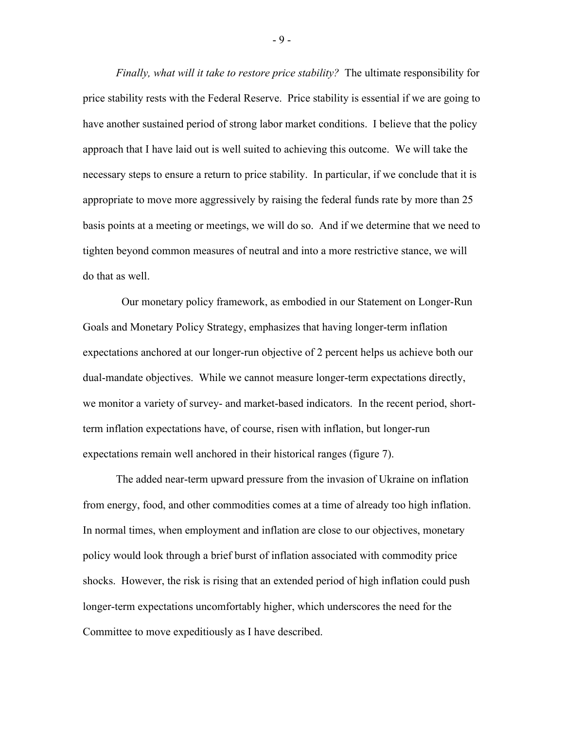*Finally, what will it take to restore price stability?* The ultimate responsibility for price stability rests with the Federal Reserve. Price stability is essential if we are going to have another sustained period of strong labor market conditions. I believe that the policy approach that I have laid out is well suited to achieving this outcome. We will take the necessary steps to ensure a return to price stability. In particular, if we conclude that it is appropriate to move more aggressively by raising the federal funds rate by more than 25 basis points at a meeting or meetings, we will do so. And if we determine that we need to tighten beyond common measures of neutral and into a more restrictive stance, we will do that as well.

Our monetary policy framework, as embodied in our Statement on Longer-Run Goals and Monetary Policy Strategy, emphasizes that having longer-term inflation expectations anchored at our longer-run objective of 2 percent helps us achieve both our dual-mandate objectives. While we cannot measure longer-term expectations directly, we monitor a variety of survey- and market-based indicators. In the recent period, shortterm inflation expectations have, of course, risen with inflation, but longer-run expectations remain well anchored in their historical ranges (figure 7).

The added near-term upward pressure from the invasion of Ukraine on inflation from energy, food, and other commodities comes at a time of already too high inflation. In normal times, when employment and inflation are close to our objectives, monetary policy would look through a brief burst of inflation associated with commodity price shocks. However, the risk is rising that an extended period of high inflation could push longer-term expectations uncomfortably higher, which underscores the need for the Committee to move expeditiously as I have described.

- 9 -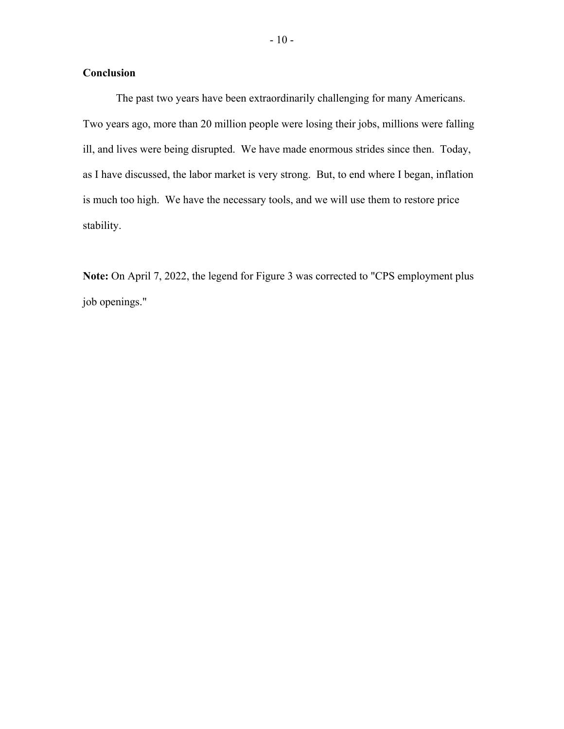#### **Conclusion**

The past two years have been extraordinarily challenging for many Americans. Two years ago, more than 20 million people were losing their jobs, millions were falling ill, and lives were being disrupted. We have made enormous strides since then. Today, as I have discussed, the labor market is very strong. But, to end where I began, inflation is much too high. We have the necessary tools, and we will use them to restore price stability.

**Note:** On April 7, 2022, the legend for Figure 3 was corrected to "CPS employment plus job openings."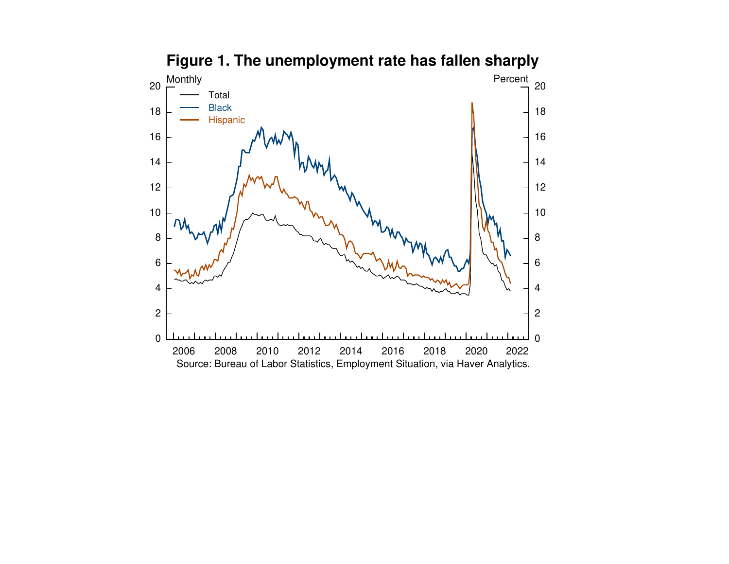

# **Figure 1. The unemployment rate has fallen sharply**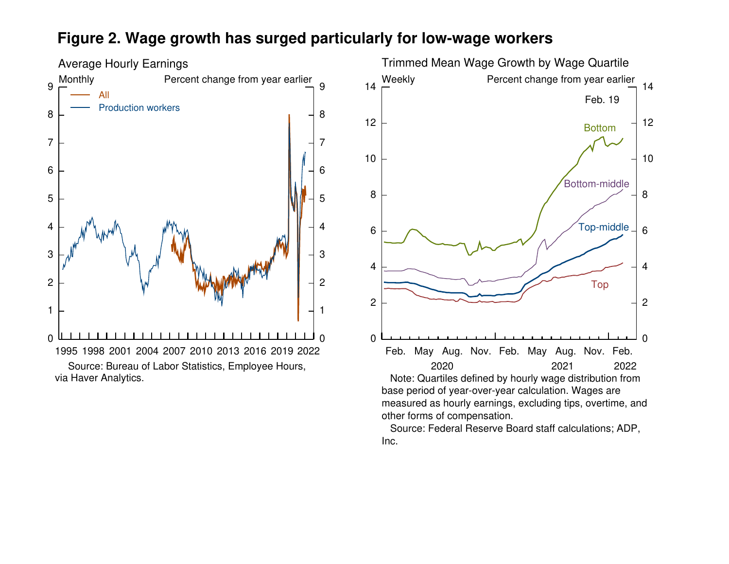## **Figure 2. Wage growth has surged particularly for low-wage workers**





 Source: Federal Reserve Board staff calculations; ADP,Inc.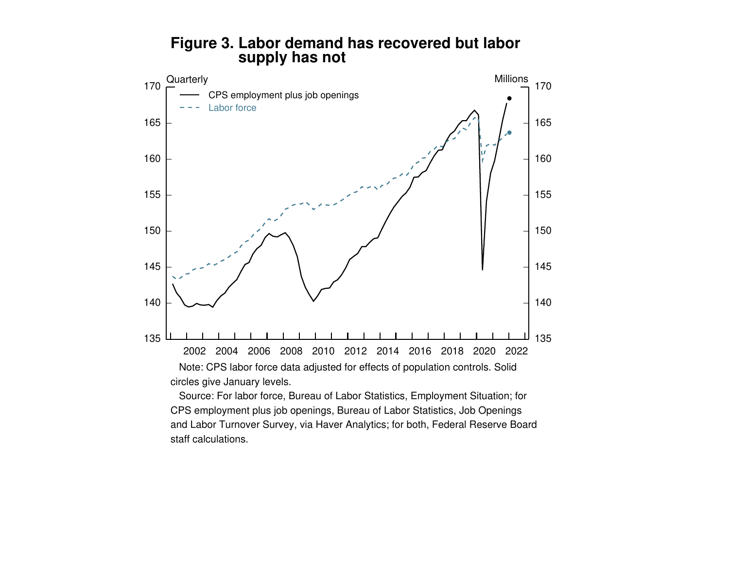

### **Figure 3. Labor demand has recovered but laborsupply has not**

 Source: For labor force, Bureau of Labor Statistics, Employment Situation; forCPS employment plus job openings, Bureau of Labor Statistics, Job Openings and Labor Turnover Survey, via Haver Analytics; for both, Federal Reserve Boardstaff calculations.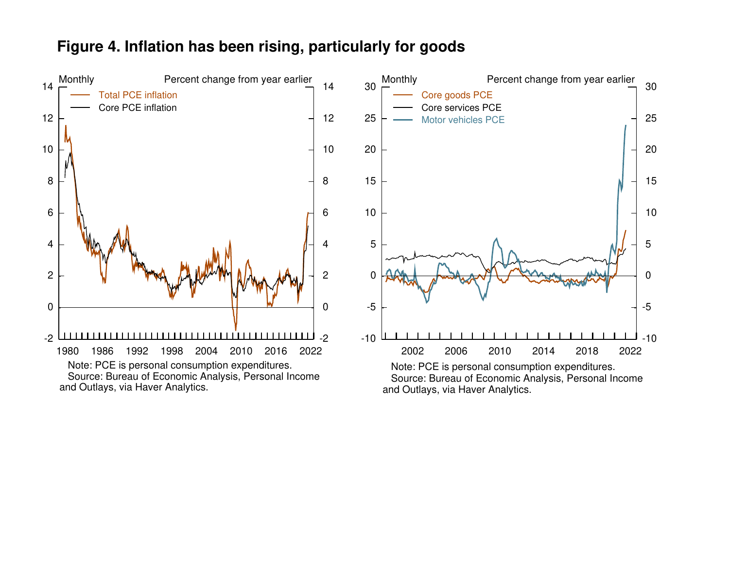#### -202468101214 Monthly <u>, لىسىسىشىسىسىسىسىسى</u>سا 2022 02468101214 Percent change from year earlier 1980 1986 1992 1998 2004 2010 2016 Note: PCE is personal consumption expenditures. Source: Bureau of Economic Analysis, Personal Incomeand Outlays, via Haver Analytics.Total PCE inflation Core PCE inflation-10-5051015202530 Monthly -10-5051015202530 Percent change from year earlier 1998 2002 2006 2010 2014 2018 2022 Note: PCE is personal consumption expenditures. Source: Bureau of Economic Analysis, Personal Incomeand Outlays, via Haver Analytics.Core goods PCE Core services PCEMotor vehicles PCE

## **Figure 4. Inflation has been rising, particularly for goods**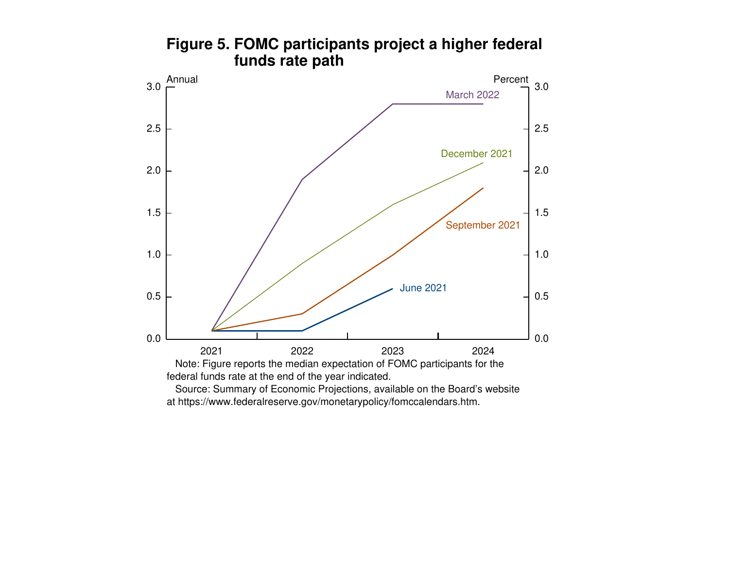

## **Figure 5. FOMC participants project a higher federal funds rate path**

at https://www.federalreserve.gov/monetarypolicy/fomccalendars.htm.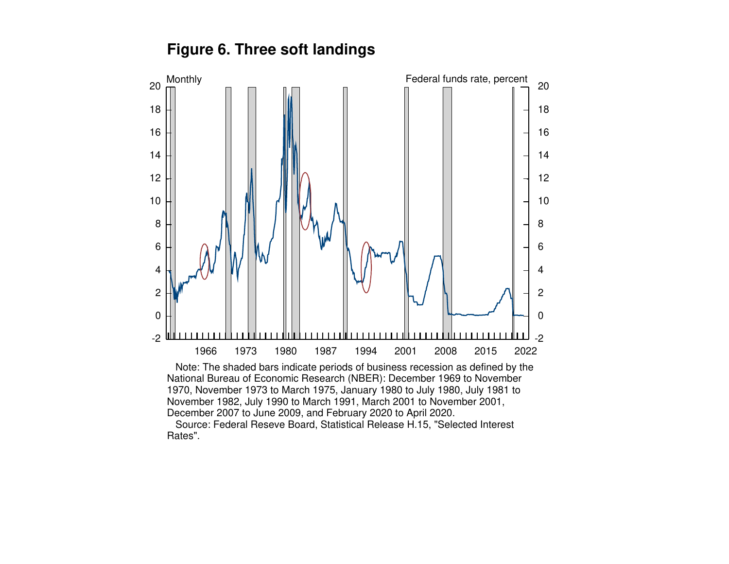**Figure 6. Three soft landings**



 Note: The shaded bars indicate periods of business recession as defined by theNational Bureau of Economic Research (NBER): December 1969 to November 1970, November 1973 to March 1975, January 1980 to July 1980, July 1981 to November 1982, July 1990 to March 1991, March 2001 to November 2001,December 2007 to June 2009, and February 2020 to April 2020.

 Source: Federal Reseve Board, Statistical Release H.15, "Selected InterestRates".